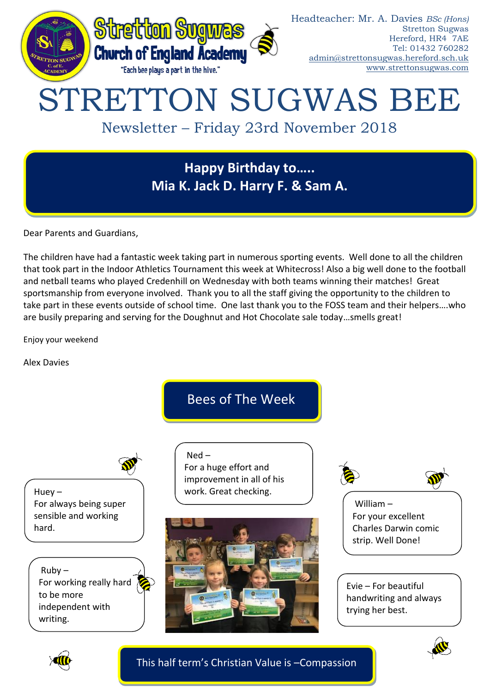

**Happy Birthday to….. Mia K. Jack D. Harry F. & Sam A.** 

Dear Parents and Guardians,

The children have had a fantastic week taking part in numerous sporting events. Well done to all the children that took part in the Indoor Athletics Tournament this week at Whitecross! Also a big well done to the football and netball teams who played Credenhill on Wednesday with both teams winning their matches! Great sportsmanship from everyone involved. Thank you to all the staff giving the opportunity to the children to take part in these events outside of school time. One last thank you to the FOSS team and their helpers….who are busily preparing and serving for the Doughnut and Hot Chocolate sale today…smells great!

Enjoy your weekend

Alex Davies

Bees of The Week

For a huge effort and improvement in all of his work. Great checking.

Ned –

Huey – For always being super sensible and working hard.

 $Ruby -$ For working really hard to be more independent with writing.





William – For your excellent Charles Darwin comic strip. Well Done!

Evie – For beautiful handwriting and always trying her best.





This half term's Christian Value is –Compassion